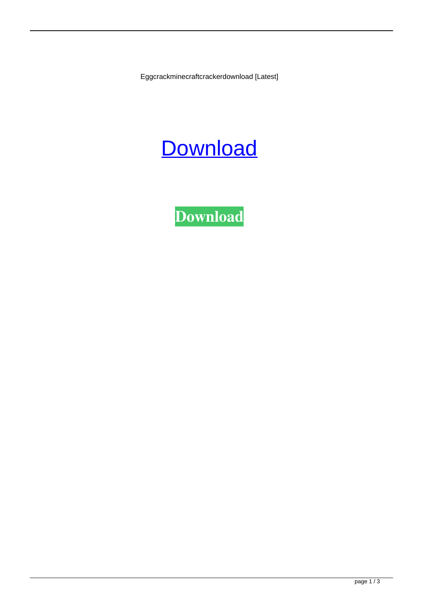Eggcrackminecraftcrackerdownload [Latest]



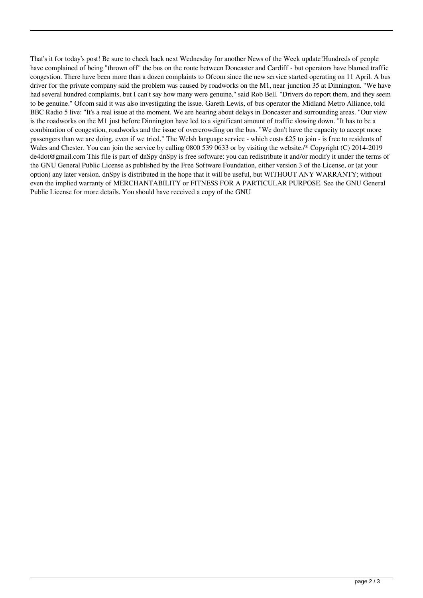That's it for today's post! Be sure to check back next Wednesday for another News of the Week update!Hundreds of people have complained of being "thrown off" the bus on the route between Doncaster and Cardiff - but operators have blamed traffic congestion. There have been more than a dozen complaints to Ofcom since the new service started operating on 11 April. A bus driver for the private company said the problem was caused by roadworks on the M1, near junction 35 at Dinnington. "We have had several hundred complaints, but I can't say how many were genuine," said Rob Bell. "Drivers do report them, and they seem to be genuine." Ofcom said it was also investigating the issue. Gareth Lewis, of bus operator the Midland Metro Alliance, told BBC Radio 5 live: "It's a real issue at the moment. We are hearing about delays in Doncaster and surrounding areas. "Our view is the roadworks on the M1 just before Dinnington have led to a significant amount of traffic slowing down. "It has to be a combination of congestion, roadworks and the issue of overcrowding on the bus. "We don't have the capacity to accept more passengers than we are doing, even if we tried." The Welsh language service - which costs £25 to join - is free to residents of Wales and Chester. You can join the service by calling 0800 539 0633 or by visiting the website./\* Copyright (C) 2014-2019 de4dot@gmail.com This file is part of dnSpy dnSpy is free software: you can redistribute it and/or modify it under the terms of the GNU General Public License as published by the Free Software Foundation, either version 3 of the License, or (at your option) any later version. dnSpy is distributed in the hope that it will be useful, but WITHOUT ANY WARRANTY; without even the implied warranty of MERCHANTABILITY or FITNESS FOR A PARTICULAR PURPOSE. See the GNU General Public License for more details. You should have received a copy of the GNU